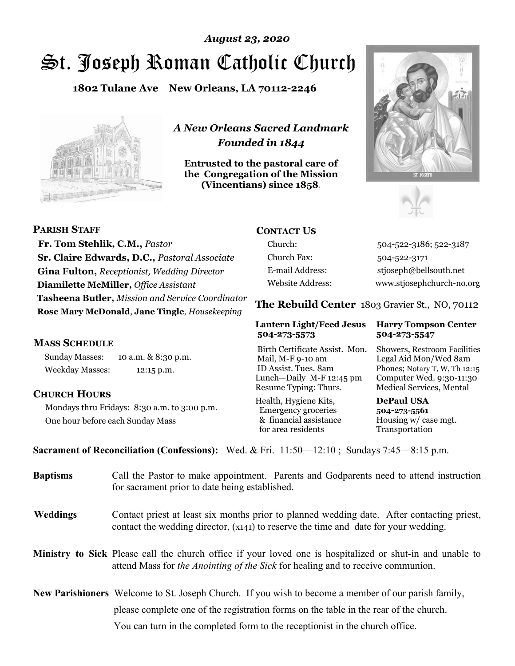# St. Joseph Roman Catholic Church *August 23, 2020*

**1802 Tulane Ave New Orleans, LA 70112-2246**



*A New Orleans Sacred Landmark Founded in 1844* 

**Entrusted to the pastoral care of the Congregation of the Mission (Vincentians) since 1858**.





**PARISH STAFF Fr. Tom Stehlik, C.M.,** *Pastor* **Sr. Claire Edwards, D.C.,** *Pastoral Associate* **Gina Fulton,** *Receptionist, Wedding Director* **Diamilette McMiller,** *Office Assistant* **Tasheena Butler,** *Mission and Service Coordinator* **Rose Mary McDonald**, **Jane Tingle**, *Housekeeping* 

#### **MASS SCHEDULE**

Sunday Masses: 10 a.m. & 8:30 p.m. Weekday Masses: 12:15 p.m.

#### **CHURCH HOURS**

Mondays thru Fridays: 8:30 a.m. to 3:00 p.m. One hour before each Sunday Mass

#### **CONTACT US**

Church: 504-522-3186; 522-3187 Church Fax: 504-522-3171 E-mail Address: stjoseph@bellsouth.net Website Address: www.stjosephchurch-no.org

**The Rebuild Center** 1803 Gravier St., NO, 70112

#### **Lantern Light/Feed Jesus Harry Tompson Center 504-273-5573 504-273-5547**

Birth Certificate Assist. Mon. Showers, Restroom Facilities Mail, M-F 9-10 am Legal Aid Mon/Wed 8am ID Assist. Tues. 8am Phones; Notary T, W, Th 12:15 Lunch—Daily M-F 12:45 pm Computer Wed. 9:30-11:30 Resume Typing: Thurs. Medical Services, Mental

Health, Hygiene Kits, **DePaul USA**  Emergency groceries **504-273-5561** & financial assistance Housing w/ case mgt.<br>for area residents Transportation for area residents

**Sacrament of Reconciliation (Confessions):** Wed. & Fri. 11:50—12:10 ; Sundays 7:45—8:15 p.m.

| <b>Baptisms</b> | Call the Pastor to make appointment. Parents and Godparents need to attend instruction<br>for sacrament prior to date being established.                                                            |  |
|-----------------|-----------------------------------------------------------------------------------------------------------------------------------------------------------------------------------------------------|--|
| <b>Weddings</b> | Contact priest at least six months prior to planned wedding date. After contacting priest,<br>contact the wedding director, (x141) to reserve the time and date for your wedding.                   |  |
|                 | <b>Ministry to Sick</b> Please call the church office if your loved one is hospitalized or shut-in and unable to<br>attend Mass for the Anointing of the Sick for healing and to receive communion. |  |
|                 | <b>New Parishioners</b> Welcome to St. Joseph Church. If you wish to become a member of our parish family,                                                                                          |  |
|                 | please complete one of the registration forms on the table in the rear of the church.                                                                                                               |  |
|                 | You can turn in the completed form to the receptionist in the church office.                                                                                                                        |  |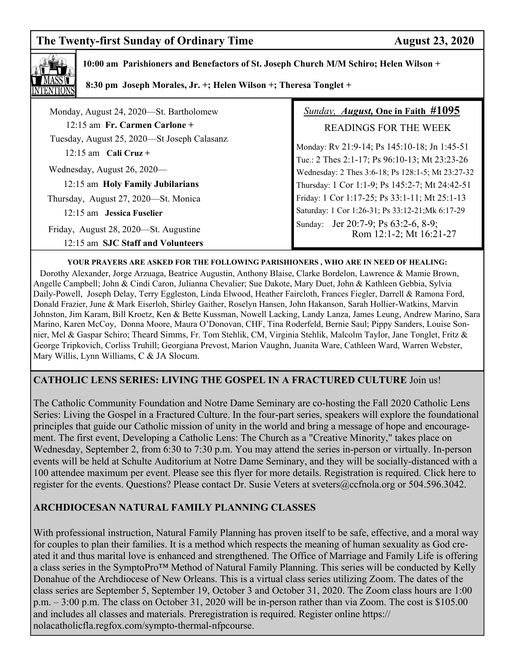# **The Twenty-first Sunday of Ordinary Time August 23, 2020**



 **10:00 am Parishioners and Benefactors of St. Joseph Church M/M Schiro; Helen Wilson +** 

 **8:30 pm Joseph Morales, Jr. +; Helen Wilson +; Theresa Tonglet +**

| Monday, August 24, 2020-St. Bartholomew      | Sunday, August, One in Faith #1095                             |
|----------------------------------------------|----------------------------------------------------------------|
| $12:15$ am Fr. Carmen Carlone +              | <b>READINGS FOR THE WEEK</b>                                   |
| Tuesday, August 25, 2020—St Joseph Calasanz. | Monday: Rv 21:9-14; Ps 145:10-18; Jn 1:45-51                   |
| $12:15$ am Cali Cruz +                       | Tue.: 2 Thes 2:1-17; Ps 96:10-13; Mt 23:23-26                  |
| Wednesday, August 26, 2020—                  | Wednesday: 2 Thes 3:6-18; Ps 128:1-5; Mt 23:27-32              |
| 12:15 am Holy Family Jubilarians             | Thursday: 1 Cor 1:1-9; Ps 145:2-7; Mt 24:42-51                 |
| Thursday, August 27, 2020—St. Monica         | Friday: 1 Cor 1:17-25; Ps 33:1-11; Mt 25:1-13                  |
| 12:15 am Jessica Fuselier                    | Saturday: 1 Cor 1:26-31; Ps 33:12-21; Mk 6:17-29               |
| Friday, August 28, 2020—St. Augustine        | Sunday: Jer 20:7-9; Ps 63:2-6, 8-9;<br>Rom 12:1-2; Mt 16:21-27 |
| 12:15 am SJC Staff and Volunteers            |                                                                |

#### **YOUR PRAYERS ARE ASKED FOR THE FOLLOWING PARISHIONERS , WHO ARE IN NEED OF HEALING:**

 Dorothy Alexander, Jorge Arzuaga, Beatrice Augustin, Anthony Blaise, Clarke Bordelon, Lawrence & Mamie Brown, Angelle Campbell; John & Cindi Caron, Julianna Chevalier; Sue Dakote, Mary Duet, John & Kathleen Gebbia, Sylvia Daily-Powell, Joseph Delay, Terry Eggleston, Linda Elwood, Heather Faircloth, Frances Fiegler, Darrell & Ramona Ford, Donald Frazier, June & Mark Eiserloh, Shirley Gaither, Roselyn Hansen, John Hakanson, Sarah Hollier-Watkins, Marvin Johnston, Jim Karam, Bill Kroetz, Ken & Bette Kussman, Nowell Lacking, Landy Lanza, James Leung, Andrew Marino, Sara Marino, Karen McCoy, Donna Moore, Maura O'Donovan, CHF, Tina Roderfeld, Bernie Saul; Pippy Sanders, Louise Sonnier, Mel & Gaspar Schiro; Theard Simms, Fr. Tom Stehlik, CM, Virginia Stehlik, Malcolm Taylor, Jane Tonglet, Fritz & George Tripkovich, Corliss Truhill; Georgiana Prevost, Marion Vaughn, Juanita Ware, Cathleen Ward, Warren Webster, Mary Willis, Lynn Williams, C & JA Slocum.

### **CATHOLIC LENS SERIES: LIVING THE GOSPEL IN A FRACTURED CULTURE** Join us!

The Catholic Community Foundation and Notre Dame Seminary are co-hosting the Fall 2020 Catholic Lens Series: Living the Gospel in a Fractured Culture. In the four-part series, speakers will explore the foundational principles that guide our Catholic mission of unity in the world and bring a message of hope and encouragement. The first event, Developing a Catholic Lens: The Church as a "Creative Minority," takes place on Wednesday, September 2, from 6:30 to 7:30 p.m. You may attend the series in-person or virtually. In-person events will be held at Schulte Auditorium at Notre Dame Seminary, and they will be socially-distanced with a 100 attendee maximum per event. Please see this flyer for more details. Registration is required. Click here to register for the events. Questions? Please contact Dr. Susie Veters at sveters@ccfnola.org or 504.596.3042.

## **ARCHDIOCESAN NATURAL FAMILY PLANNING CLASSES**

With professional instruction, Natural Family Planning has proven itself to be safe, effective, and a moral way for couples to plan their families. It is a method which respects the meaning of human sexuality as God created it and thus marital love is enhanced and strengthened. The Office of Marriage and Family Life is offering a class series in the SymptoPro™ Method of Natural Family Planning. This series will be conducted by Kelly Donahue of the Archdiocese of New Orleans. This is a virtual class series utilizing Zoom. The dates of the class series are September 5, September 19, October 3 and October 31, 2020. The Zoom class hours are 1:00 p.m. – 3:00 p.m. The class on October 31, 2020 will be in-person rather than via Zoom. The cost is \$105.00 and includes all classes and materials. Preregistration is required. Register online https:// nolacatholicfla.regfox.com/sympto-thermal-nfpcourse.